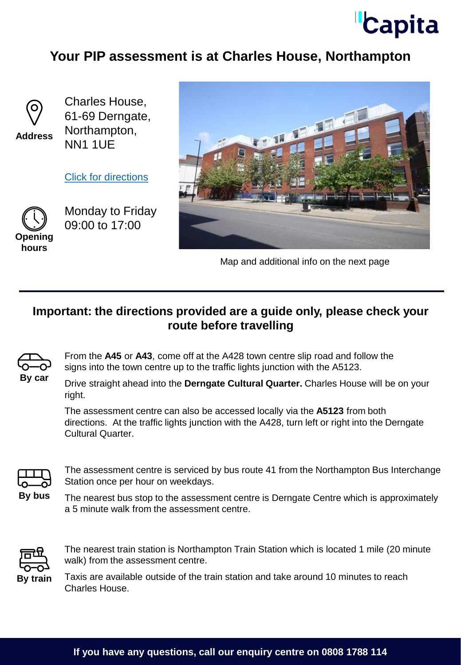

## **Your PIP assessment is at Charles House, Northampton**



**Address**

Charles House, 61-69 Derngate, Northampton, NN1 1UE

[Click for directions](https://goo.gl/maps/VdEbJeh8AmetWUwZ7)



Monday to Friday 09:00 to 17:00



Map and additional info on the next page

## **Important: the directions provided are a guide only, please check your route before travelling**



From the **A45** or **A43**, come off at the A428 town centre slip road and follow the signs into the town centre up to the traffic lights junction with the A5123.

Drive straight ahead into the **Derngate Cultural Quarter.** Charles House will be on your right.

The assessment centre can also be accessed locally via the **A5123** from both directions. At the traffic lights junction with the A428, turn left or right into the Derngate Cultural Quarter.



The assessment centre is serviced by bus route 41 from the Northampton Bus Interchange Station once per hour on weekdays.

**By bus**

The nearest bus stop to the assessment centre is Derngate Centre which is approximately a 5 minute walk from the assessment centre.



The nearest train station is Northampton Train Station which is located 1 mile (20 minute walk) from the assessment centre.

Taxis are available outside of the train station and take around 10 minutes to reach Charles House.